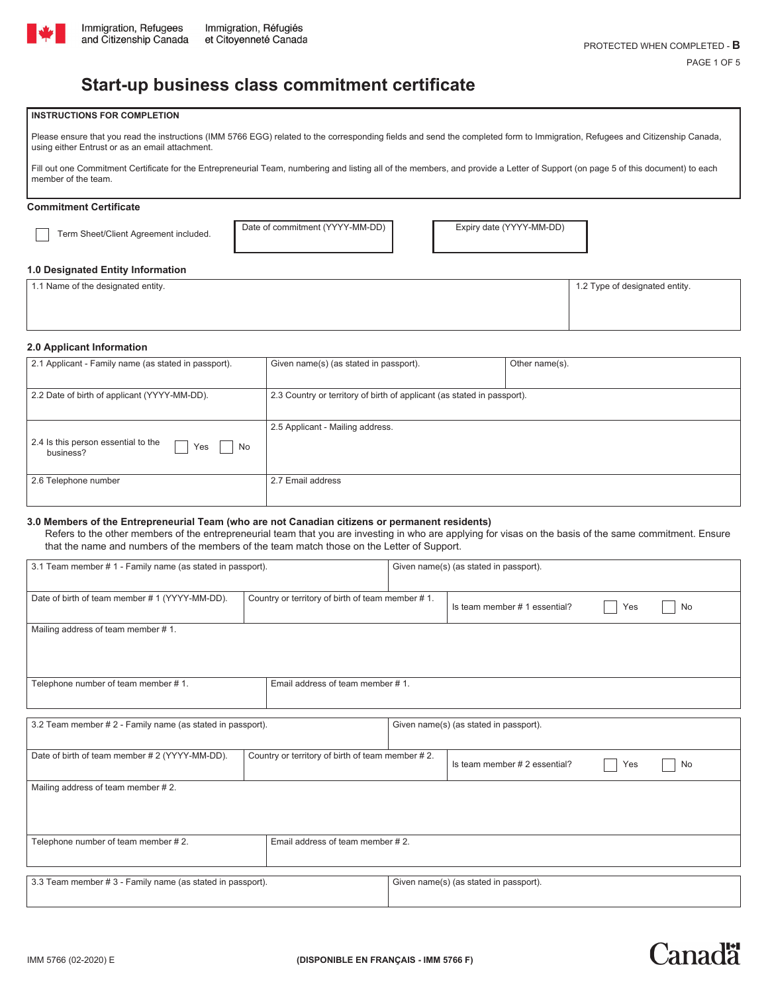

# **Start-up business class commitment certificate**

#### **INSTRUCTIONS FOR COMPLETION**

Please ensure that you read the instructions (IMM 5766 EGG) related to the corresponding fields and send the completed form to Immigration, Refugees and Citizenship Canada, using either Entrust or as an email attachment.

Fill out one Commitment Certificate for the Entrepreneurial Team, numbering and listing all of the members, and provide a Letter of Support (on page 5 of this document) to each member of the team.

# **Commitment Certificate**

Term Sheet/Client Agreement included. Date of commitment (YYYY-MM-DD) Expiry date (YYYY-MM-DD)

#### **1.0 Designated Entity Information**

| 1.1 Name of the designated entity. | 1.2 Type of designated entity. |
|------------------------------------|--------------------------------|
|                                    |                                |
|                                    |                                |

#### **2.0 Applicant Information**

| 2.1 Applicant - Family name (as stated in passport).          | Given name(s) (as stated in passport).                                  | Other name(s). |  |
|---------------------------------------------------------------|-------------------------------------------------------------------------|----------------|--|
| 2.2 Date of birth of applicant (YYYY-MM-DD).                  | 2.3 Country or territory of birth of applicant (as stated in passport). |                |  |
| 2.4 Is this person essential to the<br>No<br>Yes<br>business? | 2.5 Applicant - Mailing address.                                        |                |  |
| 2.6 Telephone number                                          | 2.7 Email address                                                       |                |  |

#### **3.0 Members of the Entrepreneurial Team (who are not Canadian citizens or permanent residents)**

 Refers to the other members of the entrepreneurial team that you are investing in who are applying for visas on the basis of the same commitment. Ensure that the name and numbers of the members of the team match those on the Letter of Support.

| 3.1 Team member # 1 - Family name (as stated in passport).              |                                                  |                                                  | Given name(s) (as stated in passport). |     |    |
|-------------------------------------------------------------------------|--------------------------------------------------|--------------------------------------------------|----------------------------------------|-----|----|
| Date of birth of team member #1 (YYYY-MM-DD).                           |                                                  | Country or territory of birth of team member #1. |                                        | Yes | No |
| Mailing address of team member #1.                                      |                                                  |                                                  |                                        |     |    |
| Telephone number of team member #1.                                     | Email address of team member #1.                 |                                                  |                                        |     |    |
|                                                                         |                                                  |                                                  |                                        |     |    |
| 3.2 Team member # 2 - Family name (as stated in passport).              |                                                  |                                                  | Given name(s) (as stated in passport). |     |    |
| Date of birth of team member # 2 (YYYY-MM-DD).                          | Country or territory of birth of team member #2. |                                                  | Is team member # 2 essential?          | Yes | No |
| Mailing address of team member #2.                                      |                                                  |                                                  |                                        |     |    |
| Telephone number of team member #2.<br>Email address of team member #2. |                                                  |                                                  |                                        |     |    |
| 3.3 Team member # 3 - Family name (as stated in passport).              |                                                  |                                                  | Given name(s) (as stated in passport). |     |    |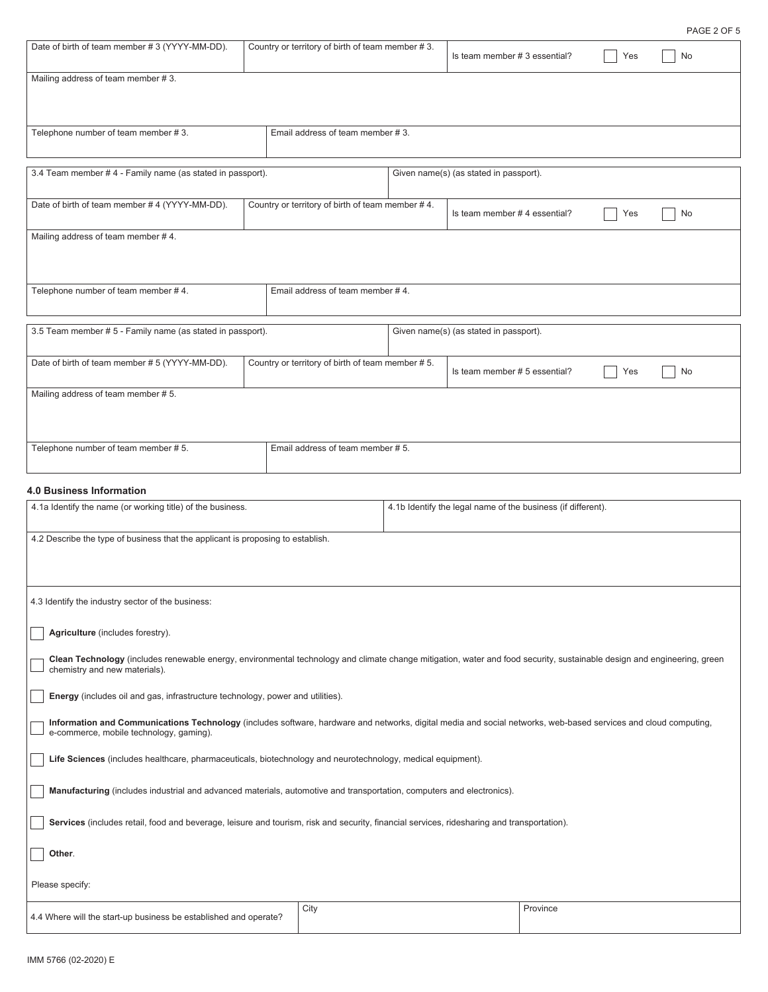Is team member # 3 essential? <br>
No

| Mailing address of team member #3.                                                                                                                                                                         |                                                                                                                            |                                                  |  |                                        |          |     |    |
|------------------------------------------------------------------------------------------------------------------------------------------------------------------------------------------------------------|----------------------------------------------------------------------------------------------------------------------------|--------------------------------------------------|--|----------------------------------------|----------|-----|----|
|                                                                                                                                                                                                            |                                                                                                                            |                                                  |  |                                        |          |     |    |
|                                                                                                                                                                                                            |                                                                                                                            |                                                  |  |                                        |          |     |    |
| Telephone number of team member #3.                                                                                                                                                                        | Email address of team member #3.                                                                                           |                                                  |  |                                        |          |     |    |
|                                                                                                                                                                                                            |                                                                                                                            |                                                  |  |                                        |          |     |    |
| 3.4 Team member #4 - Family name (as stated in passport).                                                                                                                                                  |                                                                                                                            |                                                  |  | Given name(s) (as stated in passport). |          |     |    |
|                                                                                                                                                                                                            |                                                                                                                            |                                                  |  |                                        |          |     |    |
| Date of birth of team member #4 (YYYY-MM-DD).                                                                                                                                                              |                                                                                                                            | Country or territory of birth of team member #4. |  | Is team member #4 essential?           |          | Yes | No |
| Mailing address of team member #4.                                                                                                                                                                         |                                                                                                                            |                                                  |  |                                        |          |     |    |
|                                                                                                                                                                                                            |                                                                                                                            |                                                  |  |                                        |          |     |    |
|                                                                                                                                                                                                            |                                                                                                                            |                                                  |  |                                        |          |     |    |
| Telephone number of team member #4.                                                                                                                                                                        |                                                                                                                            | Email address of team member #4.                 |  |                                        |          |     |    |
|                                                                                                                                                                                                            |                                                                                                                            |                                                  |  |                                        |          |     |    |
| 3.5 Team member # 5 - Family name (as stated in passport).                                                                                                                                                 |                                                                                                                            |                                                  |  | Given name(s) (as stated in passport). |          |     |    |
| Date of birth of team member # 5 (YYYY-MM-DD).                                                                                                                                                             |                                                                                                                            | Country or territory of birth of team member #5. |  |                                        |          |     |    |
|                                                                                                                                                                                                            |                                                                                                                            |                                                  |  | Is team member # 5 essential?          |          | Yes | No |
| Mailing address of team member #5.                                                                                                                                                                         |                                                                                                                            |                                                  |  |                                        |          |     |    |
|                                                                                                                                                                                                            |                                                                                                                            |                                                  |  |                                        |          |     |    |
|                                                                                                                                                                                                            |                                                                                                                            |                                                  |  |                                        |          |     |    |
| Telephone number of team member #5.                                                                                                                                                                        |                                                                                                                            | Email address of team member # 5.                |  |                                        |          |     |    |
|                                                                                                                                                                                                            |                                                                                                                            |                                                  |  |                                        |          |     |    |
| <b>4.0 Business Information</b>                                                                                                                                                                            |                                                                                                                            |                                                  |  |                                        |          |     |    |
|                                                                                                                                                                                                            | 4.1a Identify the name (or working title) of the business.<br>4.1b Identify the legal name of the business (if different). |                                                  |  |                                        |          |     |    |
|                                                                                                                                                                                                            |                                                                                                                            |                                                  |  |                                        |          |     |    |
| 4.2 Describe the type of business that the applicant is proposing to establish.                                                                                                                            |                                                                                                                            |                                                  |  |                                        |          |     |    |
|                                                                                                                                                                                                            |                                                                                                                            |                                                  |  |                                        |          |     |    |
|                                                                                                                                                                                                            |                                                                                                                            |                                                  |  |                                        |          |     |    |
| 4.3 Identify the industry sector of the business:                                                                                                                                                          |                                                                                                                            |                                                  |  |                                        |          |     |    |
|                                                                                                                                                                                                            |                                                                                                                            |                                                  |  |                                        |          |     |    |
| Agriculture (includes forestry).                                                                                                                                                                           |                                                                                                                            |                                                  |  |                                        |          |     |    |
| Clean Technology (includes renewable energy, environmental technology and climate change mitigation, water and food security, sustainable design and engineering, green<br>chemistry and new materials).   |                                                                                                                            |                                                  |  |                                        |          |     |    |
|                                                                                                                                                                                                            |                                                                                                                            |                                                  |  |                                        |          |     |    |
| Energy (includes oil and gas, infrastructure technology, power and utilities).                                                                                                                             |                                                                                                                            |                                                  |  |                                        |          |     |    |
| Information and Communications Technology (includes software, hardware and networks, digital media and social networks, web-based services and cloud computing,<br>e-commerce, mobile technology, gaming). |                                                                                                                            |                                                  |  |                                        |          |     |    |
|                                                                                                                                                                                                            |                                                                                                                            |                                                  |  |                                        |          |     |    |
| Life Sciences (includes healthcare, pharmaceuticals, biotechnology and neurotechnology, medical equipment).                                                                                                |                                                                                                                            |                                                  |  |                                        |          |     |    |
|                                                                                                                                                                                                            | Manufacturing (includes industrial and advanced materials, automotive and transportation, computers and electronics).      |                                                  |  |                                        |          |     |    |
| Services (includes retail, food and beverage, leisure and tourism, risk and security, financial services, ridesharing and transportation).                                                                 |                                                                                                                            |                                                  |  |                                        |          |     |    |
| Other.                                                                                                                                                                                                     |                                                                                                                            |                                                  |  |                                        |          |     |    |
|                                                                                                                                                                                                            |                                                                                                                            |                                                  |  |                                        |          |     |    |
| Please specify:                                                                                                                                                                                            |                                                                                                                            |                                                  |  |                                        |          |     |    |
| 4.4 Where will the start-up business be established and operate?                                                                                                                                           |                                                                                                                            | City                                             |  |                                        | Province |     |    |
|                                                                                                                                                                                                            |                                                                                                                            |                                                  |  |                                        |          |     |    |

Date of birth of team member # 3 (YYYY-MM-DD). Country or territory of birth of team member # 3.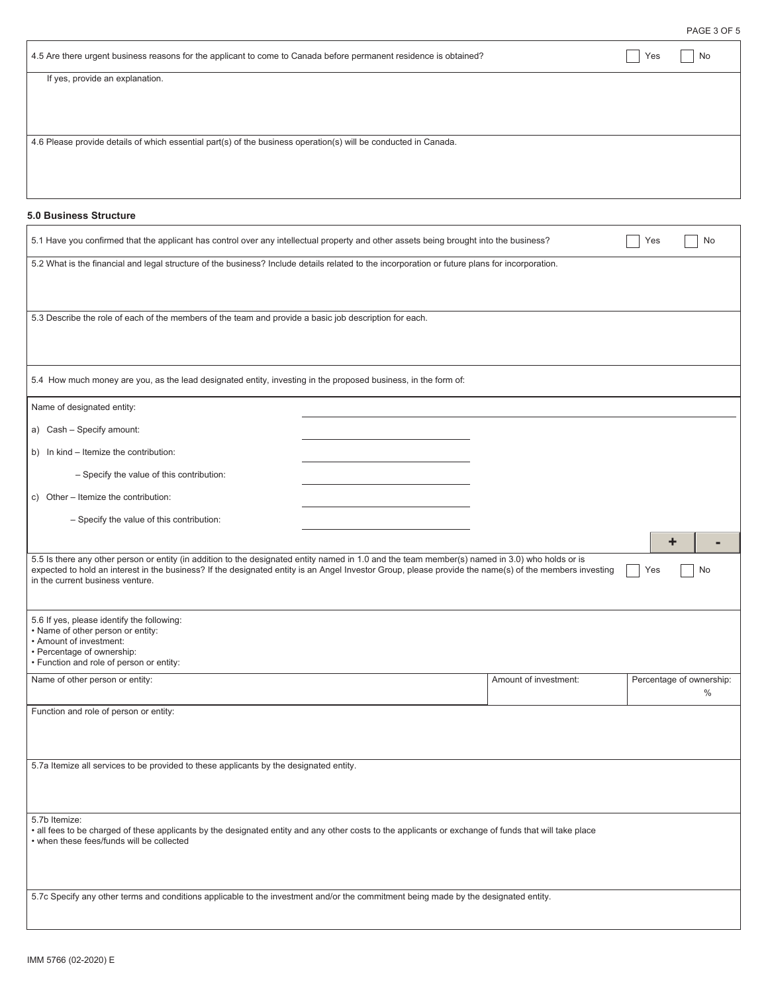|                                                                                                                                                                                                                                                                                                                                               |                       |     | PAGE 3 OF 5              |
|-----------------------------------------------------------------------------------------------------------------------------------------------------------------------------------------------------------------------------------------------------------------------------------------------------------------------------------------------|-----------------------|-----|--------------------------|
| 4.5 Are there urgent business reasons for the applicant to come to Canada before permanent residence is obtained?                                                                                                                                                                                                                             |                       | Yes | No                       |
| If yes, provide an explanation.                                                                                                                                                                                                                                                                                                               |                       |     |                          |
|                                                                                                                                                                                                                                                                                                                                               |                       |     |                          |
|                                                                                                                                                                                                                                                                                                                                               |                       |     |                          |
| 4.6 Please provide details of which essential part(s) of the business operation(s) will be conducted in Canada.                                                                                                                                                                                                                               |                       |     |                          |
|                                                                                                                                                                                                                                                                                                                                               |                       |     |                          |
|                                                                                                                                                                                                                                                                                                                                               |                       |     |                          |
| <b>5.0 Business Structure</b>                                                                                                                                                                                                                                                                                                                 |                       |     |                          |
| 5.1 Have you confirmed that the applicant has control over any intellectual property and other assets being brought into the business?                                                                                                                                                                                                        |                       | Yes | No                       |
| 5.2 What is the financial and legal structure of the business? Include details related to the incorporation or future plans for incorporation.                                                                                                                                                                                                |                       |     |                          |
|                                                                                                                                                                                                                                                                                                                                               |                       |     |                          |
| 5.3 Describe the role of each of the members of the team and provide a basic job description for each.                                                                                                                                                                                                                                        |                       |     |                          |
|                                                                                                                                                                                                                                                                                                                                               |                       |     |                          |
|                                                                                                                                                                                                                                                                                                                                               |                       |     |                          |
| 5.4 How much money are you, as the lead designated entity, investing in the proposed business, in the form of:                                                                                                                                                                                                                                |                       |     |                          |
| Name of designated entity:                                                                                                                                                                                                                                                                                                                    |                       |     |                          |
| a) Cash - Specify amount:                                                                                                                                                                                                                                                                                                                     |                       |     |                          |
| b) In kind - Itemize the contribution:                                                                                                                                                                                                                                                                                                        |                       |     |                          |
| - Specify the value of this contribution:                                                                                                                                                                                                                                                                                                     |                       |     |                          |
| c) Other - Itemize the contribution:                                                                                                                                                                                                                                                                                                          |                       |     |                          |
| - Specify the value of this contribution:                                                                                                                                                                                                                                                                                                     |                       |     |                          |
|                                                                                                                                                                                                                                                                                                                                               |                       |     | ÷                        |
| 5.5 Is there any other person or entity (in addition to the designated entity named in 1.0 and the team member(s) named in 3.0) who holds or is<br>expected to hold an interest in the business? If the designated entity is an Angel Investor Group, please provide the name(s) of the members investing<br>in the current business venture. |                       | Yes | No                       |
|                                                                                                                                                                                                                                                                                                                                               |                       |     |                          |
| 5.6 If yes, please identify the following:<br>• Name of other person or entity:                                                                                                                                                                                                                                                               |                       |     |                          |
| • Amount of investment:<br>• Percentage of ownership:                                                                                                                                                                                                                                                                                         |                       |     |                          |
| • Function and role of person or entity:<br>Name of other person or entity:                                                                                                                                                                                                                                                                   | Amount of investment: |     | Percentage of ownership: |
|                                                                                                                                                                                                                                                                                                                                               |                       |     | $\%$                     |
| Function and role of person or entity:                                                                                                                                                                                                                                                                                                        |                       |     |                          |
|                                                                                                                                                                                                                                                                                                                                               |                       |     |                          |

5.7a Itemize all services to be provided to these applicants by the designated entity.

5.7b Itemize:

• all fees to be charged of these applicants by the designated entity and any other costs to the applicants or exchange of funds that will take place • when these fees/funds will be collected

5.7c Specify any other terms and conditions applicable to the investment and/or the commitment being made by the designated entity.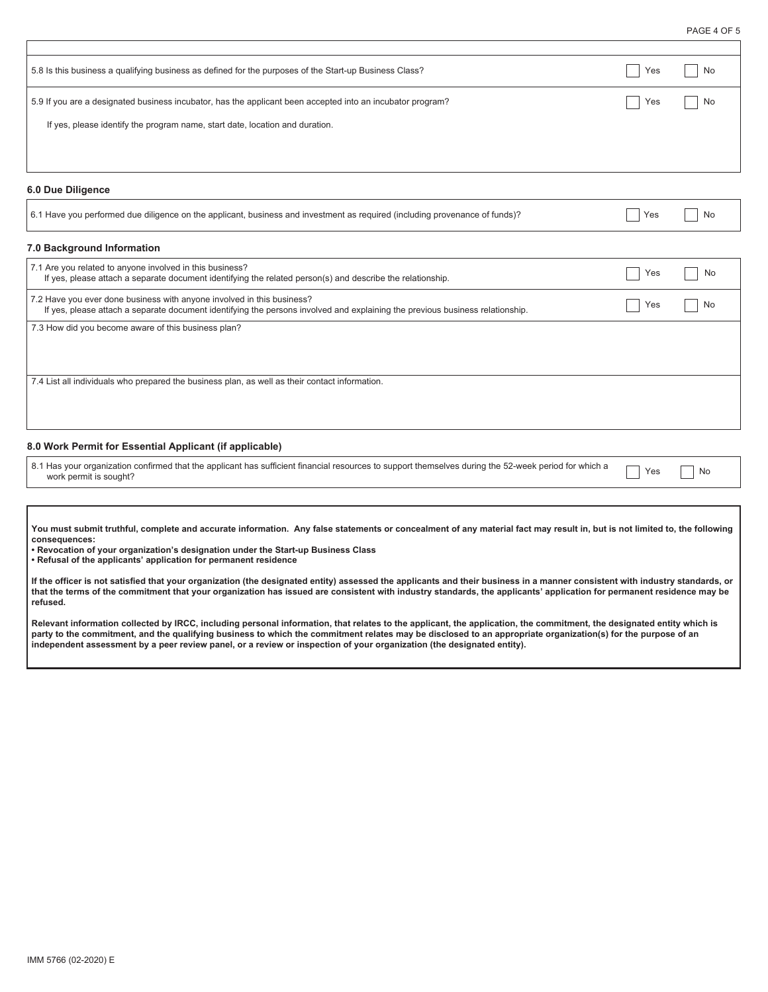PAGE 4 OF 5

| 5.8 Is this business a qualifying business as defined for the purposes of the Start-up Business Class?     | Yes | No |
|------------------------------------------------------------------------------------------------------------|-----|----|
| 5.9 If you are a designated business incubator, has the applicant been accepted into an incubator program? | Yes | No |
| If yes, please identify the program name, start date, location and duration.                               |     |    |
|                                                                                                            |     |    |

#### **6.0 Due Diligence**

| 6.1 Have you performed due diligence on the applicant, business and investment as required (including provenance of funds)? |  | N <sub>0</sub> |
|-----------------------------------------------------------------------------------------------------------------------------|--|----------------|
|-----------------------------------------------------------------------------------------------------------------------------|--|----------------|

## **7.0 Background Information**

| 7.1 Are you related to anyone involved in this business?<br>If yes, please attach a separate document identifying the related person(s) and describe the relationship.                                  | Yes |    |
|---------------------------------------------------------------------------------------------------------------------------------------------------------------------------------------------------------|-----|----|
| 7.2 Have you ever done business with anyone involved in this business?<br>If yes, please attach a separate document identifying the persons involved and explaining the previous business relationship. | Yes | Nc |
| 7.3 How did you become aware of this business plan?                                                                                                                                                     |     |    |
|                                                                                                                                                                                                         |     |    |
| 7.4 List all individuals who prepared the business plan, as well as their contact information.                                                                                                          |     |    |
|                                                                                                                                                                                                         |     |    |

# **8.0 Work Permit for Essential Applicant (if applicable)**

8.1 Has your organization confirmed that the applicant has sufficient financial resources to support themselves during the 52-week period for which a  $\qquad \qquad$  Yes  $\qquad \qquad$  No

**You must submit truthful, complete and accurate information. Any false statements or concealment of any material fact may result in, but is not limited to, the following consequences:** 

**• Revocation of your organization's designation under the Start-up Business Class** 

**• Refusal of the applicants' application for permanent residence** 

**If the officer is not satisfied that your organization (the designated entity) assessed the applicants and their business in a manner consistent with industry standards, or that the terms of the commitment that your organization has issued are consistent with industry standards, the applicants' application for permanent residence may be refused.** 

**Relevant information collected by IRCC, including personal information, that relates to the applicant, the application, the commitment, the designated entity which is party to the commitment, and the qualifying business to which the commitment relates may be disclosed to an appropriate organization(s) for the purpose of an independent assessment by a peer review panel, or a review or inspection of your organization (the designated entity).**